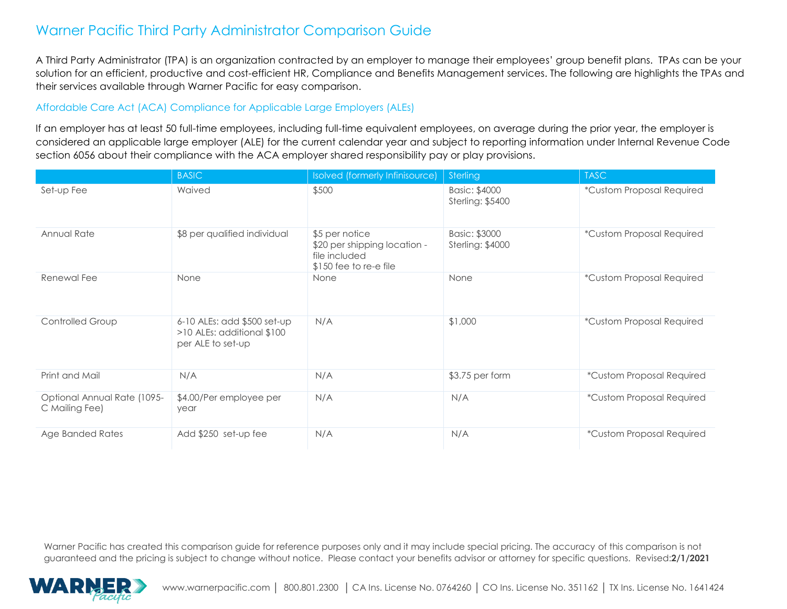A Third Party Administrator (TPA) is an organization contracted by an employer to manage their employees' group benefit plans. TPAs can be your solution for an efficient, productive and cost-efficient HR, Compliance and Benefits Management services. The following are highlights the TPAs and their services available through Warner Pacific for easy comparison.

#### Affordable Care Act (ACA) Compliance for Applicable Large Employers (ALEs)

If an employer has at least 50 full-time employees, including full-time equivalent employees, on average during the prior year, the employer is considered an applicable large employer (ALE) for the current calendar year and subject to reporting information under Internal Revenue Code section 6056 about their compliance with the ACA employer shared responsibility pay or play provisions.

|                                               | <b>BASIC</b>                                                                   | Isolved (formerly Infinisource)                                                            | Sterling                                 | <b>TASC</b>               |
|-----------------------------------------------|--------------------------------------------------------------------------------|--------------------------------------------------------------------------------------------|------------------------------------------|---------------------------|
| Set-up Fee                                    | Waived                                                                         | \$500                                                                                      | Basic: \$4000<br><b>Sterling: \$5400</b> | *Custom Proposal Required |
| Annual Rate                                   | \$8 per qualified individual                                                   | \$5 per notice<br>\$20 per shipping location -<br>file included<br>$$150$ fee to re-e file | Basic: \$3000<br><b>Sterling: \$4000</b> | *Custom Proposal Required |
| Renewal Fee                                   | None                                                                           | None                                                                                       | None                                     | *Custom Proposal Required |
| Controlled Group                              | 6-10 ALEs: add \$500 set-up<br>>10 ALEs: additional \$100<br>per ALE to set-up | N/A                                                                                        | \$1,000                                  | *Custom Proposal Required |
| Print and Mail                                | N/A                                                                            | N/A                                                                                        | \$3.75 per form                          | *Custom Proposal Required |
| Optional Annual Rate (1095-<br>C Mailing Fee) | \$4.00/Per employee per<br>year                                                | N/A                                                                                        | N/A                                      | *Custom Proposal Required |
| Age Banded Rates                              | Add \$250 set-up fee                                                           | N/A                                                                                        | N/A                                      | *Custom Proposal Required |

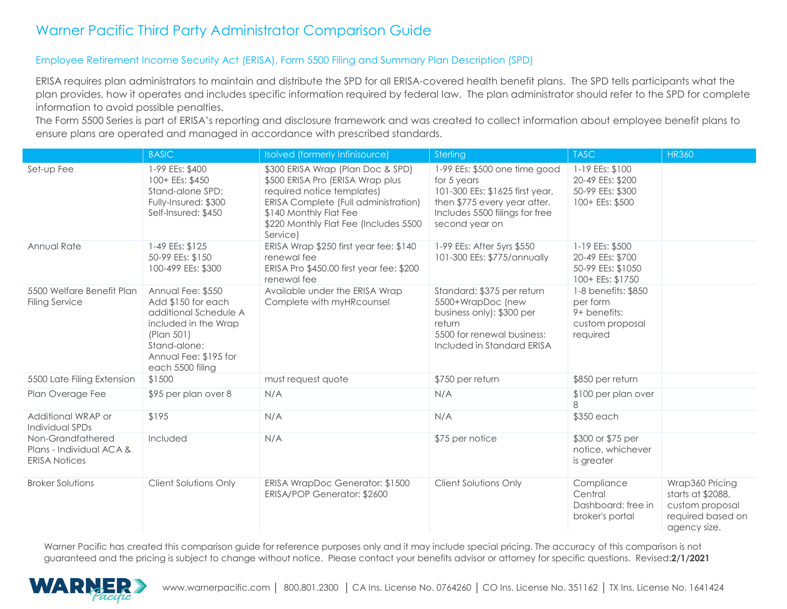#### Employee Retirement Income Security Act (ERISA), Form 5500 Filing and Summary Plan Description (SPD)

ERISA requires plan administrators to maintain and distribute the SPD for all ERISA-covered health benefit plans. The SPD tells participants what the plan provides, how it operates and includes specific information required by federal law. The plan administrator should refer to the SPD for complete information to avoid possible penalties.

The Form 5500 Series is part of ERISA's reporting and disclosure framework and was created to collect information about employee benefit plans to ensure plans are operated and managed in accordance with prescribed standards.

|                                                                       | <b>BASIC</b>                                                                                                                                                        | Isolved (formerly Infinisource)                                                                                                                                                                                            | Sterling                                                                                                                                                            | <b>TASC</b>                                                                    | <b>HR360</b>                                                                                 |
|-----------------------------------------------------------------------|---------------------------------------------------------------------------------------------------------------------------------------------------------------------|----------------------------------------------------------------------------------------------------------------------------------------------------------------------------------------------------------------------------|---------------------------------------------------------------------------------------------------------------------------------------------------------------------|--------------------------------------------------------------------------------|----------------------------------------------------------------------------------------------|
| Set-up Fee                                                            | 1-99 EEs: \$400<br>100+ EEs: \$450<br>Stand-alone SPD:<br>Fully-Insured: \$300<br>Self-Insured: \$450                                                               | \$300 ERISA Wrap (Plan Doc & SPD)<br>\$500 ERISA Pro (ERISA Wrap plus<br>required notice templates)<br>ERISA Complete (Full administration)<br>\$140 Monthly Flat Fee<br>\$220 Monthly Flat Fee (Includes 5500<br>Service) | 1-99 EEs: \$500 one time good<br>for 5 years<br>101-300 EEs: \$1625 first year,<br>then \$775 every year after.<br>Includes 5500 filings for free<br>second year on | 1-19 EEs: \$100<br>20-49 EEs: \$200<br>50-99 EEs: \$300<br>100+ EEs: \$500     |                                                                                              |
| Annual Rate                                                           | 1-49 EEs: \$125<br>50-99 EEs: \$150<br>100-499 EEs: \$300                                                                                                           | ERISA Wrap \$250 first year fee: \$140<br>renewal fee<br>ERISA Pro \$450.00 first year fee: \$200<br>renewal fee                                                                                                           | 1-99 EEs: After 5yrs \$550<br>101-300 EEs: \$775/annually                                                                                                           | 1-19 EEs: \$500<br>20-49 EEs: \$700<br>50-99 EEs: \$1050<br>100+ EEs: \$1750   |                                                                                              |
| 5500 Welfare Benefit Plan<br><b>Filing Service</b>                    | Annual Fee: \$550<br>Add \$150 for each<br>additional Schedule A<br>included in the Wrap<br>(Plan 501)<br>Stand-alone:<br>Annual Fee: \$195 for<br>each 5500 filing | Available under the ERISA Wrap<br>Complete with myHRcounsel                                                                                                                                                                | Standard: \$375 per return<br>5500+WrapDoc (new<br>business only): \$300 per<br>return<br>5500 for renewal business:<br>Included in Standard ERISA                  | 1-8 benefits: \$850<br>per form<br>9+ benefits:<br>custom proposal<br>required |                                                                                              |
| 5500 Late Filing Extension                                            | \$1500                                                                                                                                                              | must request quote                                                                                                                                                                                                         | \$750 per return                                                                                                                                                    | \$850 per return                                                               |                                                                                              |
| Plan Overage Fee                                                      | \$95 per plan over 8                                                                                                                                                | N/A                                                                                                                                                                                                                        | N/A                                                                                                                                                                 | \$100 per plan over<br>8                                                       |                                                                                              |
| Additional WRAP or<br>Individual SPDs                                 | \$195                                                                                                                                                               | N/A                                                                                                                                                                                                                        | N/A                                                                                                                                                                 | \$350 each                                                                     |                                                                                              |
| Non-Grandfathered<br>Plans - Individual ACA &<br><b>ERISA Notices</b> | Included                                                                                                                                                            | N/A                                                                                                                                                                                                                        | \$75 per notice                                                                                                                                                     | \$300 or \$75 per<br>notice, whichever<br>is greater                           |                                                                                              |
| <b>Broker Solutions</b>                                               | <b>Client Solutions Only</b>                                                                                                                                        | ERISA WrapDoc Generator: \$1500<br>ERISA/POP Generator: \$2600                                                                                                                                                             | Client Solutions Only                                                                                                                                               | Compliance<br>Central<br>Dashboard: free in<br>broker's portal                 | Wrap360 Pricing<br>starts at \$2088,<br>custom proposal<br>required based on<br>agency size. |

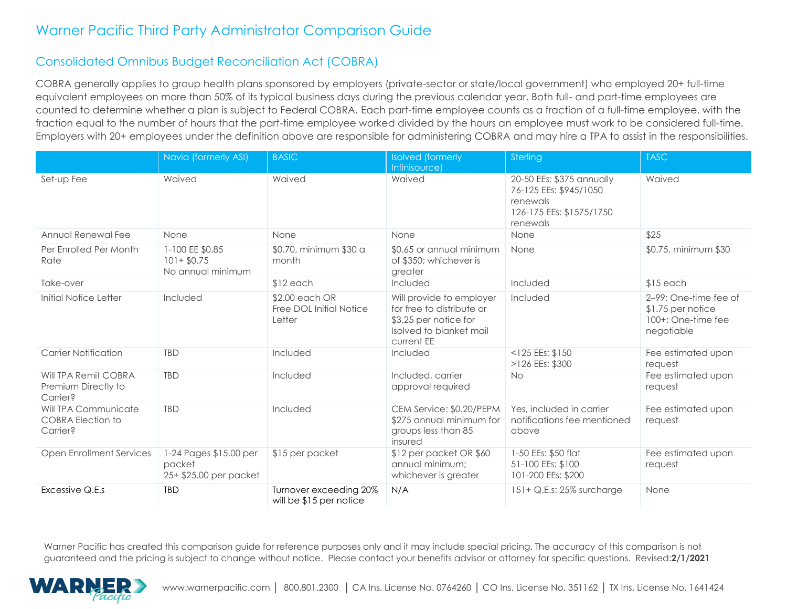### Consolidated Omnibus Budget Reconciliation Act (COBRA)

COBRA generally applies to group health plans sponsored by employers (private-sector or state/local government) who employed 20+ full-time equivalent employees on more than 50% of its typical business days during the previous calendar year. Both full- and part-time employees are counted to determine whether a plan is subject to Federal COBRA. Each part-time employee counts as a fraction of a full-time employee, with the fraction equal to the number of hours that the part-time employee worked divided by the hours an employee must work to be considered full-time. Employers with 20+ employees under the definition above are responsible for administering COBRA and may hire a TPA to assist in the responsibilities.

|                                                              | Navia (formerly ASI)                                       | <b>BASIC</b>                                        | <b>Isolved</b> (formerly                                                                                                | Sterling                                                                                                | <b>TASC</b>                                                                     |
|--------------------------------------------------------------|------------------------------------------------------------|-----------------------------------------------------|-------------------------------------------------------------------------------------------------------------------------|---------------------------------------------------------------------------------------------------------|---------------------------------------------------------------------------------|
|                                                              |                                                            |                                                     | Infinisource)                                                                                                           |                                                                                                         |                                                                                 |
| Set-up Fee                                                   | Waived                                                     | Waived                                              | Waived                                                                                                                  | 20-50 EEs: \$375 annually<br>76-125 EEs: \$945/1050<br>renewals<br>126-175 EEs: \$1575/1750<br>renewals | Waived                                                                          |
| Annual Renewal Fee                                           | None                                                       | None                                                | None                                                                                                                    | None                                                                                                    | \$25                                                                            |
| Per Enrolled Per Month<br>Rate                               | 1-100 EE \$0.85<br>$101 + $0.75$<br>No annual minimum      | \$0.70, minimum \$30 a<br>month                     | \$0.65 or annual minimum<br>of \$350; whichever is<br>greater                                                           | None                                                                                                    | \$0.75, minimum \$30                                                            |
| Take-over                                                    |                                                            | $$12$ each                                          | Included                                                                                                                | Included                                                                                                | $$15$ each                                                                      |
| Initial Notice Letter                                        | Included                                                   | \$2.00 each OR<br>Free DOL Initial Notice<br>Letter | Will provide to employer<br>for free to distribute or<br>\$3.25 per notice for<br>Isolved to blanket mail<br>current EE | Included                                                                                                | 2-99: One-time fee of<br>$$1.75$ per notice<br>100+: One-time fee<br>negotiable |
| <b>Carrier Notification</b>                                  | <b>TBD</b>                                                 | Included                                            | Included                                                                                                                | $<$ 125 EEs: \$150<br>>126 EEs: \$300                                                                   | Fee estimated upon<br>request                                                   |
| Will TPA Remit COBRA<br>Premium Directly to<br>Carrier?      | <b>TBD</b>                                                 | Included                                            | Included, carrier<br>approval required                                                                                  | <b>No</b>                                                                                               | Fee estimated upon<br>request                                                   |
| Will TPA Communicate<br><b>COBRA Election to</b><br>Carrier? | <b>TBD</b>                                                 | Included                                            | CEM Service: \$0.20/PEPM<br>\$275 annual minimum for<br>groups less than 85<br>insured                                  | Yes, included in carrier<br>notifications fee mentioned<br>above                                        | Fee estimated upon<br>request                                                   |
| <b>Open Enrollment Services</b>                              | 1-24 Pages \$15.00 per<br>packet<br>25+ \$25.00 per packet | \$15 per packet                                     | \$12 per packet OR \$60<br>annual minimum:<br>whichever is greater                                                      | 1-50 EEs: \$50 flat<br>51-100 EEs: \$100<br>101-200 EEs: \$200                                          | Fee estimated upon<br>request                                                   |
| Excessive Q.E.s                                              | <b>TBD</b>                                                 | Turnover exceeding 20%<br>will be \$15 per notice   | N/A                                                                                                                     | 151+ Q.E.s: 25% surcharge                                                                               | None                                                                            |

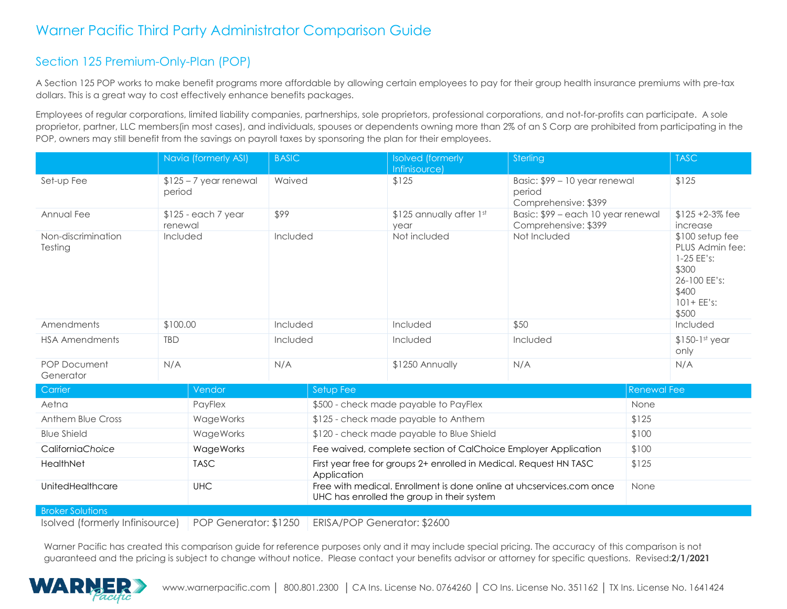### Section 125 Premium-Only-Plan (POP)

A Section 125 POP works to make benefit programs more affordable by allowing certain employees to pay for their group health insurance premiums with pre-tax dollars. This is a great way to cost effectively enhance benefits packages.

Employees of regular corporations, limited liability companies, partnerships, sole proprietors, professional corporations, and not-for-profits can participate. A sole proprietor, partner, LLC members(in most cases), and individuals, spouses or dependents owning more than 2% of an S Corp are prohibited from participating in the POP, owners may still benefit from the savings on payroll taxes by sponsoring the plan for their employees.

|                                  | Navia (formerly ASI)              |  | <b>BASIC</b> |                                                                | <b>Isolved</b> (formerly<br>Infinisource)                          | Sterling                                                             |             | <b>TASC</b>                                                                                                    |
|----------------------------------|-----------------------------------|--|--------------|----------------------------------------------------------------|--------------------------------------------------------------------|----------------------------------------------------------------------|-------------|----------------------------------------------------------------------------------------------------------------|
| Set-up Fee                       | $$125 - 7$ year renewal<br>period |  | Waived       |                                                                | \$125                                                              | Basic: \$99 - 10 year renewal<br>period<br>Comprehensive: \$399      |             | \$125                                                                                                          |
| Annual Fee                       | $$125$ - each 7 year<br>renewal   |  | \$99         |                                                                | \$125 annually after 1st<br>year                                   | Basic: \$99 - each 10 year renewal<br>Comprehensive: \$399           |             | $$125 + 2-3\%$ fee<br>increase                                                                                 |
| Non-discrimination<br>Testing    | Included                          |  | Included     |                                                                | Not included                                                       | Not Included                                                         |             | $$100$ setup fee<br>PLUS Admin fee:<br>1-25 EE's:<br>\$300<br>26-100 EE's:<br>\$400<br>$101 + EE's$ :<br>\$500 |
| Amendments                       | \$100.00                          |  |              | Included                                                       | Included                                                           | \$50                                                                 |             | Included                                                                                                       |
| <b>HSA Amendments</b>            | <b>TBD</b>                        |  | Included     |                                                                | Included                                                           | Included                                                             |             | $$150-1st$ year<br>only                                                                                        |
| <b>POP Document</b><br>Generator | N/A                               |  | N/A          |                                                                | \$1250 Annually                                                    | N/A                                                                  |             | N/A                                                                                                            |
| Carrier                          | Vendor                            |  |              | Setup Fee                                                      |                                                                    |                                                                      | Renewal Fee |                                                                                                                |
| Aetna                            | PayFlex                           |  |              | \$500 - check made payable to PayFlex                          |                                                                    |                                                                      | None        |                                                                                                                |
| Anthem Blue Cross                | WageWorks                         |  |              | \$125 - check made payable to Anthem                           |                                                                    |                                                                      | \$125       |                                                                                                                |
| <b>Blue Shield</b>               | WageWorks                         |  |              | \$120 - check made payable to Blue Shield                      |                                                                    |                                                                      | \$100       |                                                                                                                |
| CaliforniaChoice                 | WageWorks                         |  |              | Fee waived, complete section of CalChoice Employer Application |                                                                    |                                                                      | \$100       |                                                                                                                |
| HealthNet                        | <b>TASC</b>                       |  |              | Application                                                    | First year free for groups 2+ enrolled in Medical. Request HN TASC |                                                                      | \$125       |                                                                                                                |
| UnitedHealthcare                 | <b>UHC</b>                        |  |              |                                                                | UHC has enrolled the group in their system                         | Free with medical. Enrollment is done online at uhcservices.com once | None        |                                                                                                                |
| <b>Broker Solutions</b>          |                                   |  |              |                                                                |                                                                    |                                                                      |             |                                                                                                                |

Isolved (formerly Infinisource) POP Generator: \$1250 ERISA/POP Generator: \$2600

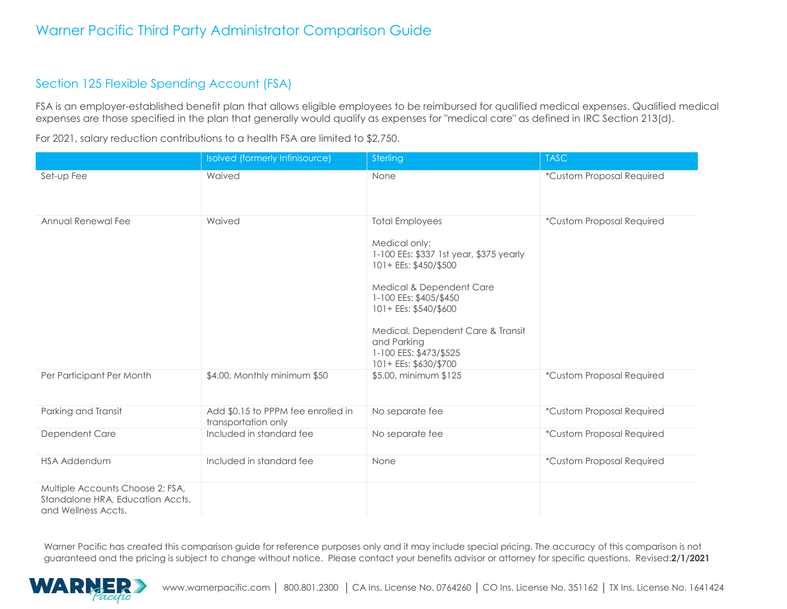### Section 125 Flexible Spending Account (FSA)

FSA is an employer-established benefit plan that allows eligible employees to be reimbursed for qualified medical expenses. Qualified medical expenses are those specified in the plan that generally would qualify as expenses for "medical care" as defined in IRC Section 213(d).

|                                                                                             | Isolved (formerly Infinisource)                           | Sterling                                                                                                                                                                                                                                                                                          | <b>TASC</b>               |
|---------------------------------------------------------------------------------------------|-----------------------------------------------------------|---------------------------------------------------------------------------------------------------------------------------------------------------------------------------------------------------------------------------------------------------------------------------------------------------|---------------------------|
| Set-up Fee                                                                                  | Waived                                                    | None                                                                                                                                                                                                                                                                                              | *Custom Proposal Required |
| Annual Renewal Fee                                                                          | Waived                                                    | <b>Total Employees</b><br>Medical only:<br>1-100 EEs: \$337 1st year, \$375 yearly<br>101+ EEs: \$450/\$500<br>Medical & Dependent Care<br>1-100 EEs: \$405/\$450<br>101+ EEs: \$540/\$600<br>Medical, Dependent Care & Transit<br>and Parking<br>1-100 EES: \$473/\$525<br>101+ EEs: \$630/\$700 | *Custom Proposal Required |
| Per Participant Per Month                                                                   | \$4.00, Monthly minimum \$50                              | \$5.00, minimum \$125                                                                                                                                                                                                                                                                             | *Custom Proposal Required |
| Parking and Transit                                                                         | Add \$0.15 to PPPM fee enrolled in<br>transportation only | No separate fee                                                                                                                                                                                                                                                                                   | *Custom Proposal Required |
| Dependent Care                                                                              | Included in standard fee                                  | No separate fee                                                                                                                                                                                                                                                                                   | *Custom Proposal Required |
| <b>HSA Addendum</b>                                                                         | Included in standard fee                                  | None                                                                                                                                                                                                                                                                                              | *Custom Proposal Required |
| Multiple Accounts Choose 2: FSA,<br>Standalone HRA, Education Accts.<br>and Wellness Accts. |                                                           |                                                                                                                                                                                                                                                                                                   |                           |

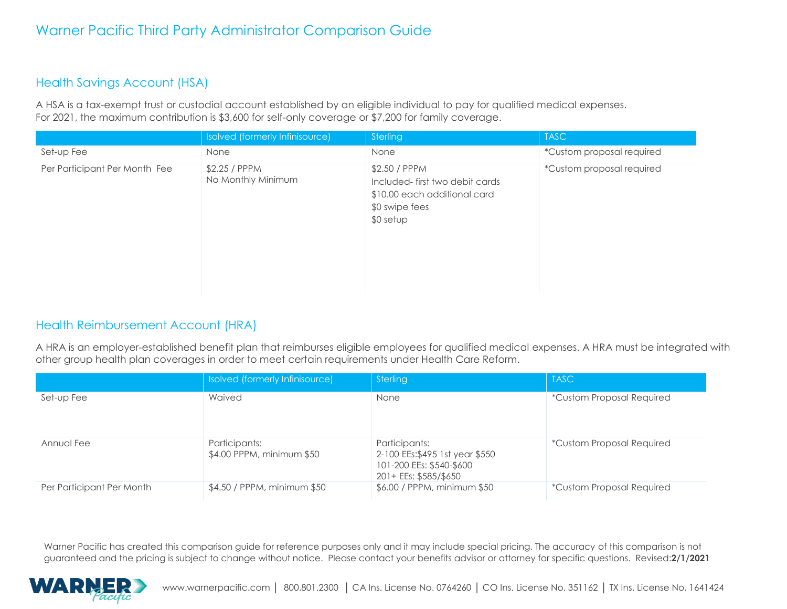### Health Savings Account (HSA)

A HSA is a tax-exempt trust or custodial account established by an eligible individual to pay for qualified medical expenses. For 2021, the maximum contribution is \$3,600 for self-only coverage or \$7,200 for family coverage.

|                               | Isolved (formerly Infinisource)     | Sterling                                                                                                        | <b>TASC</b>               |
|-------------------------------|-------------------------------------|-----------------------------------------------------------------------------------------------------------------|---------------------------|
| Set-up Fee                    | None                                | None                                                                                                            | *Custom proposal required |
| Per Participant Per Month Fee | \$2.25 / PPPM<br>No Monthly Minimum | \$2.50 / PPPM<br>Included-first two debit cards<br>\$10.00 each additional card<br>\$0 swipe fees<br>$$0$ setup | *Custom proposal required |

### Health Reimbursement Account (HRA)

A HRA is an employer-established benefit plan that reimburses eligible employees for qualified medical expenses. A HRA must be integrated with other group health plan coverages in order to meet certain requirements under Health Care Reform.

|                           | Isolved (formerly Infinisource)            | Sterling                                                                                             | <b>TASC</b>                      |
|---------------------------|--------------------------------------------|------------------------------------------------------------------------------------------------------|----------------------------------|
| Set-up Fee                | Waived                                     | None                                                                                                 | *Custom Proposal Required        |
| Annual Fee                | Participants:<br>\$4.00 PPPM, minimum \$50 | Participants:<br>2-100 EEs:\$495 1st year \$550<br>101-200 EEs: \$540-\$600<br>201+ EEs: \$585/\$650 | <i>*Custom Proposal Required</i> |
| Per Participant Per Month | \$4.50 / PPPM, minimum \$50                | \$6.00 / PPPM, minimum \$50                                                                          | <i>*Custom Proposal Required</i> |

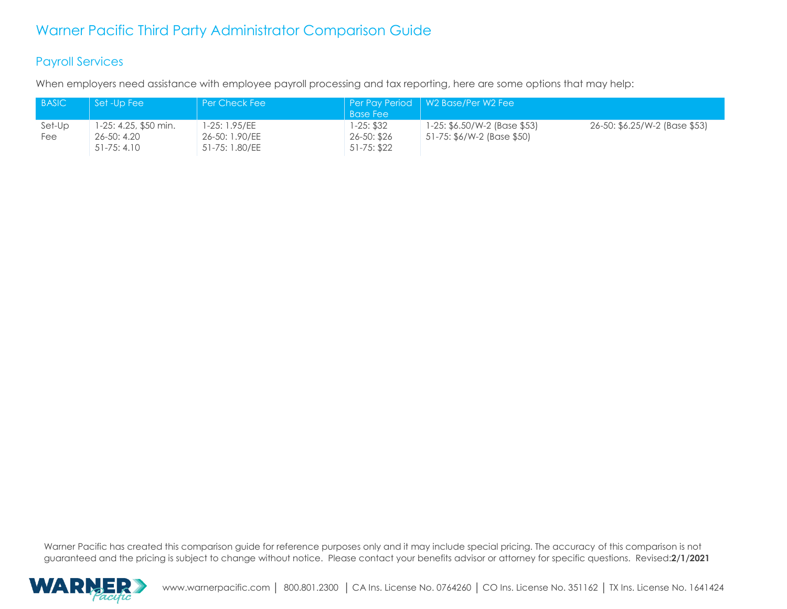#### Payroll Services

When employers need assistance with employee payroll processing and tax reporting, here are some options that may help:

| <b>BASIC</b> | Set -Up Fee           | l Per Check Fee |                  | Per Pay Period   W2 Base/Per W2 Fee |                               |
|--------------|-----------------------|-----------------|------------------|-------------------------------------|-------------------------------|
|              |                       |                 | <b>Base Fee</b>  |                                     |                               |
| Set-Up       | 1-25: 4.25, \$50 min. | 1-25: 1.95/EE   | 1-25: \$32       | 1-25: \$6.50/W-2 (Base \$53)        | 26-50: \$6.25/W-2 (Base \$53) |
| Fee          | 26-50: 4.20           | 26-50: 1.90/EE  | $26 - 50$ : \$26 | 51-75: \$6/W-2 (Base \$50)          |                               |
|              | $51 - 75: 4.10$       | 51-75: 1.80/EE  | $51 - 75: $22$   |                                     |                               |

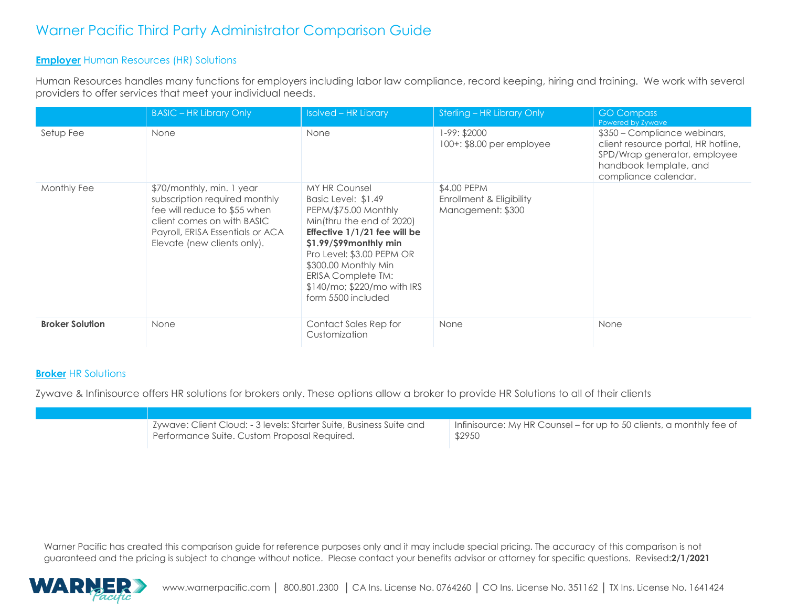#### **Employer** Human Resources (HR) Solutions

Human Resources handles many functions for employers including labor law compliance, record keeping, hiring and training. We work with several providers to offer services that meet your individual needs.

|                        | <b>BASIC - HR Library Only</b>                                                                                                                                                              | <b>Isolved - HR Library</b>                                                                                                                                                                                                                                                                     | Sterling - HR Library Only                                   | <b>GO Compass</b><br>Powered by Zywave                                                                                                                |
|------------------------|---------------------------------------------------------------------------------------------------------------------------------------------------------------------------------------------|-------------------------------------------------------------------------------------------------------------------------------------------------------------------------------------------------------------------------------------------------------------------------------------------------|--------------------------------------------------------------|-------------------------------------------------------------------------------------------------------------------------------------------------------|
| Setup Fee              | None                                                                                                                                                                                        | None                                                                                                                                                                                                                                                                                            | 1-99: \$2000<br>100+: \$8.00 per employee                    | \$350 - Compliance webinars,<br>client resource portal, HR hotline,<br>SPD/Wrap generator, employee<br>handbook template, and<br>compliance calendar. |
| Monthly Fee            | \$70/monthly, min. 1 year<br>subscription required monthly<br>fee will reduce to \$55 when<br>client comes on with BASIC<br>Payroll, ERISA Essentials or ACA<br>Elevate (new clients only). | <b>MY HR Counsel</b><br>Basic Level: \$1.49<br>PEPM/\$75.00 Monthly<br>Min(thru the end of 2020)<br>Effective 1/1/21 fee will be<br>$$1.99$ / $$99$ monthly min<br>Pro Level: \$3.00 PEPM OR<br>\$300.00 Monthly Min<br>ERISA Complete TM:<br>$$140/mo; $220/mo$ with IRS<br>form 5500 included | \$4.00 PEPM<br>Enrollment & Eligibility<br>Management: \$300 |                                                                                                                                                       |
| <b>Broker Solution</b> | None                                                                                                                                                                                        | Contact Sales Rep for<br>Customization                                                                                                                                                                                                                                                          | None                                                         | None                                                                                                                                                  |

#### **Broker** HR Solutions

Zywave & Infinisource offers HR solutions for brokers only. These options allow a broker to provide HR Solutions to all of their clients

| \$2950<br>Performance Suite. Custom Proposal Required. | Zywave: Client Cloud: - 3 levels: Starter Suite, Business Suite and | Infinisource: My HR Counsel – for up to 50 clients, a monthly fee of |
|--------------------------------------------------------|---------------------------------------------------------------------|----------------------------------------------------------------------|